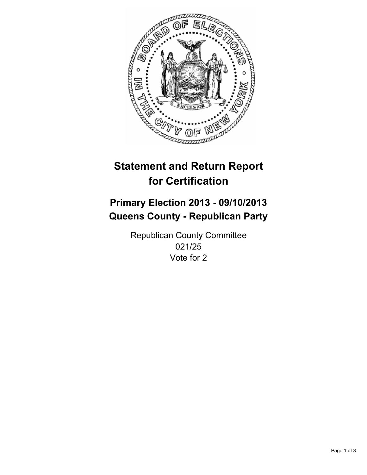

# **Statement and Return Report for Certification**

# **Primary Election 2013 - 09/10/2013 Queens County - Republican Party**

Republican County Committee 021/25 Vote for 2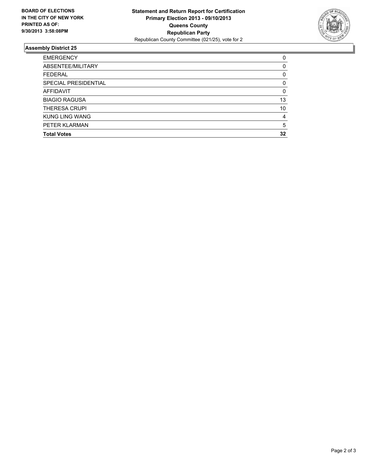

## **Assembly District 25**

| <b>EMERGENCY</b>      | 0        |
|-----------------------|----------|
| ABSENTEE/MILITARY     | 0        |
| <b>FEDERAL</b>        | 0        |
| SPECIAL PRESIDENTIAL  | 0        |
| <b>AFFIDAVIT</b>      | $\Omega$ |
| <b>BIAGIO RAGUSA</b>  | 13       |
| <b>THERESA CRUPI</b>  | 10       |
| <b>KUNG LING WANG</b> | 4        |
| PETER KLARMAN         | 5        |
| <b>Total Votes</b>    | 32       |